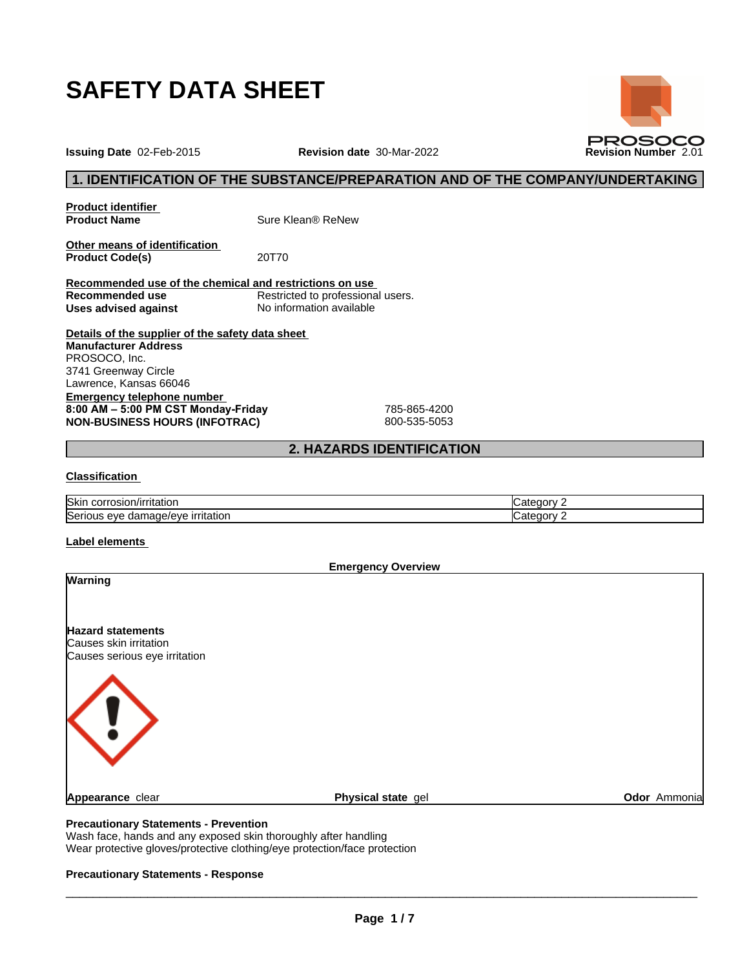

**Issuing Date** 02-Feb-2015 **Revision date** 30-Mar-2022 **Revision Number** 2.01

## **1. IDENTIFICATION OF THE SUBSTANCE/PREPARATION AND OF THE COMPANY/UNDERTAKING**

**Product identifier**

**Product Name** Sure Klean® ReNew

**Other means of identification**<br>**Product Code(s)** 20T70 **Product Code(s)** 

**Recommended use of the chemical and restrictions on use Restricted to professional users. Uses advised against** No information available

**Details of the supplier of the safety data sheet Emergency telephone number 8:00AM–5:00PMCSTMonday-Friday** 785-865-4200 **NON-BUSINESS HOURS (INFOTRAC)** 800-535-5053 **Manufacturer Address** PROSOCO, Inc. 3741 Greenway Circle Lawrence, Kansas 66046

## **2. HAZARDS IDENTIFICATION**

### **Classification**

| <b>Skin</b><br>⊦corrosion/irritation           | ∴ategor∨∶         |
|------------------------------------------------|-------------------|
| Serious<br>eye damaqe/eye<br>irritation<br>. . | ∴ategory ∶<br>. . |

#### **Label elements**

**Emergency Overview Warning Hazard statements** Causes skin irritation Causes serious eye irritation **Appearance** clear **Physical state** gel **Odor** Ammonia

## **Precautionary Statements - Prevention**

Wash face, hands and any exposed skin thoroughly after handling Wear protective gloves/protective clothing/eye protection/face protection

#### **Precautionary Statements - Response**

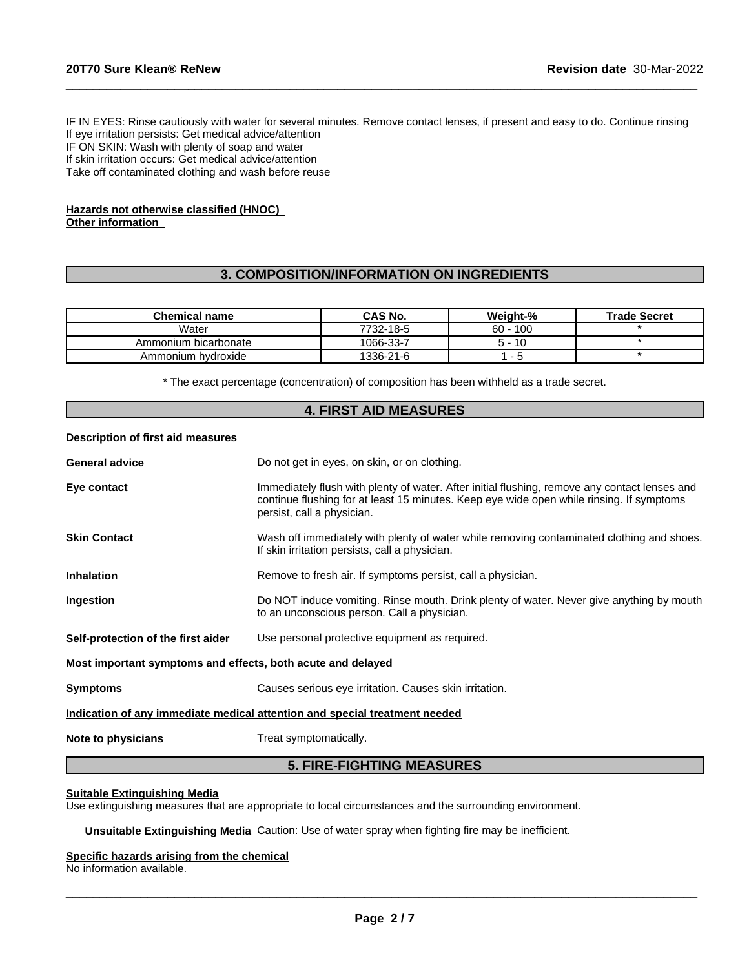IF IN EYES: Rinse cautiously with water for several minutes. Remove contact lenses, if present and easy to do. Continue rinsing If eye irritation persists: Get medical advice/attention IF ON SKIN: Wash with plenty of soap and water If skin irritation occurs: Get medical advice/attention Take off contaminated clothing and wash before reuse

 $\_$  ,  $\_$  ,  $\_$  ,  $\_$  ,  $\_$  ,  $\_$  ,  $\_$  ,  $\_$  ,  $\_$  ,  $\_$  ,  $\_$  ,  $\_$  ,  $\_$  ,  $\_$  ,  $\_$  ,  $\_$  ,  $\_$  ,  $\_$  ,  $\_$  ,  $\_$  ,  $\_$  ,  $\_$  ,  $\_$  ,  $\_$  ,  $\_$  ,  $\_$  ,  $\_$  ,  $\_$  ,  $\_$  ,  $\_$  ,  $\_$  ,  $\_$  ,  $\_$  ,  $\_$  ,  $\_$  ,  $\_$  ,  $\_$  ,

#### **Hazards not otherwise classified (HNOC) Other information**

## **3. COMPOSITION/INFORMATION ON INGREDIENTS**

| <b>Chemical name</b> | CAS No.   | Weight-%   | <b>Trade Secret</b> |
|----------------------|-----------|------------|---------------------|
| Water                | 7732-18-5 | $60 - 100$ |                     |
| Ammonium bicarbonate | 1066-33-7 | 10<br>5 -  |                     |
| Ammonium hvdroxide   | 1336-21-6 |            |                     |

\* The exact percentage (concentration) of composition has been withheld as a trade secret.

|                                                             | <b>4. FIRST AID MEASURES</b>                                                                                                                                                                                            |  |  |
|-------------------------------------------------------------|-------------------------------------------------------------------------------------------------------------------------------------------------------------------------------------------------------------------------|--|--|
| Description of first aid measures                           |                                                                                                                                                                                                                         |  |  |
| General advice                                              | Do not get in eyes, on skin, or on clothing.                                                                                                                                                                            |  |  |
| Eye contact                                                 | Immediately flush with plenty of water. After initial flushing, remove any contact lenses and<br>continue flushing for at least 15 minutes. Keep eye wide open while rinsing. If symptoms<br>persist, call a physician. |  |  |
| Skin Contact                                                | Wash off immediately with plenty of water while removing contaminated clothing and shoes.<br>If skin irritation persists, call a physician.                                                                             |  |  |
| Inhalation                                                  | Remove to fresh air. If symptoms persist, call a physician.                                                                                                                                                             |  |  |
| Ingestion                                                   | Do NOT induce vomiting. Rinse mouth. Drink plenty of water. Never give anything by mouth<br>to an unconscious person. Call a physician.                                                                                 |  |  |
| Self-protection of the first aider                          | Use personal protective equipment as required.                                                                                                                                                                          |  |  |
| Most important symptoms and effects, both acute and delayed |                                                                                                                                                                                                                         |  |  |
| Symptoms                                                    | Causes serious eye irritation. Causes skin irritation.                                                                                                                                                                  |  |  |
|                                                             | Indication of any immediate medical attention and special treatment needed                                                                                                                                              |  |  |
| Note to physicians                                          | Treat symptomatically.                                                                                                                                                                                                  |  |  |
|                                                             | E FIBE FIAUTINA MEAQUBEA                                                                                                                                                                                                |  |  |

## **5. FIRE-FIGHTING MEASURES**

#### **Suitable Extinguishing Media**

Use extinguishing measures that are appropriate to local circumstances and the surrounding environment.

**Unsuitable Extinguishing Media** Caution: Use of water spray when fighting fire may be inefficient.

#### **Specific hazards arising from the chemical**

No information available.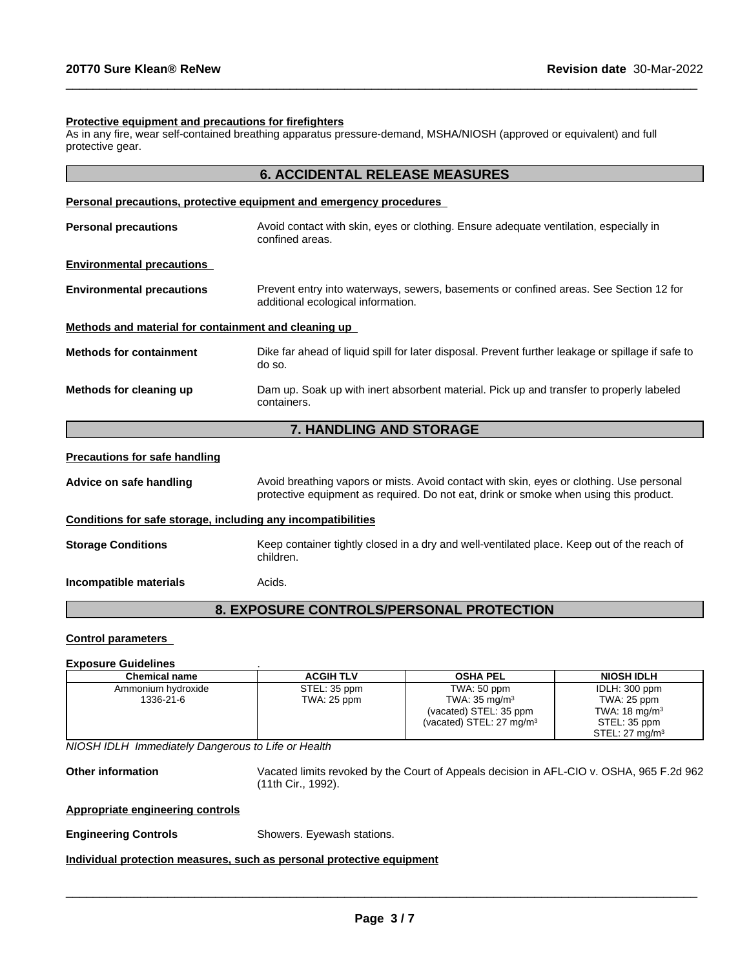#### **Protective equipment and precautions for firefighters**

As in any fire, wear self-contained breathing apparatus pressure-demand, MSHA/NIOSH (approved or equivalent) and full protective gear.

| <b>6. ACCIDENTAL RELEASE MEASURES</b> |
|---------------------------------------|
|                                       |

 $\_$  ,  $\_$  ,  $\_$  ,  $\_$  ,  $\_$  ,  $\_$  ,  $\_$  ,  $\_$  ,  $\_$  ,  $\_$  ,  $\_$  ,  $\_$  ,  $\_$  ,  $\_$  ,  $\_$  ,  $\_$  ,  $\_$  ,  $\_$  ,  $\_$  ,  $\_$  ,  $\_$  ,  $\_$  ,  $\_$  ,  $\_$  ,  $\_$  ,  $\_$  ,  $\_$  ,  $\_$  ,  $\_$  ,  $\_$  ,  $\_$  ,  $\_$  ,  $\_$  ,  $\_$  ,  $\_$  ,  $\_$  ,  $\_$  ,

|                                                              | Personal precautions, protective equipment and emergency procedures                                                                                                               |
|--------------------------------------------------------------|-----------------------------------------------------------------------------------------------------------------------------------------------------------------------------------|
| <b>Personal precautions</b>                                  | Avoid contact with skin, eyes or clothing. Ensure adequate ventilation, especially in<br>confined areas.                                                                          |
| <b>Environmental precautions</b>                             |                                                                                                                                                                                   |
| <b>Environmental precautions</b>                             | Prevent entry into waterways, sewers, basements or confined areas. See Section 12 for<br>additional ecological information.                                                       |
| Methods and material for containment and cleaning up         |                                                                                                                                                                                   |
| <b>Methods for containment</b>                               | Dike far ahead of liquid spill for later disposal. Prevent further leakage or spillage if safe to<br>do so.                                                                       |
| Methods for cleaning up                                      | Dam up. Soak up with inert absorbent material. Pick up and transfer to properly labeled<br>containers.                                                                            |
|                                                              | 7. HANDLING AND STORAGE                                                                                                                                                           |
| <b>Precautions for safe handling</b>                         |                                                                                                                                                                                   |
| Advice on safe handling                                      | Avoid breathing vapors or mists. Avoid contact with skin, eyes or clothing. Use personal<br>protective equipment as required. Do not eat, drink or smoke when using this product. |
| Conditions for safe storage, including any incompatibilities |                                                                                                                                                                                   |
| <b>Storage Conditions</b>                                    | Keep container tightly closed in a dry and well-ventilated place. Keep out of the reach of<br>children.                                                                           |
| Incompatible materials                                       | Acids.                                                                                                                                                                            |

## **8. EXPOSURE CONTROLS/PERSONAL PROTECTION**

#### **Control parameters**

#### **Exposure Guidelines** .

| Chemical name      | <b>ACGIH TLV</b> | <b>OSHA PEL</b>                     | <b>NIOSH IDLH</b>            |
|--------------------|------------------|-------------------------------------|------------------------------|
| Ammonium hydroxide | STEL: 35 ppm     | TWA: 50 ppm                         | IDLH: 300 ppm                |
| 1336-21-6          | TWA: 25 ppm      | TWA: $35 \text{ mg/m}^3$            | TWA: 25 ppm                  |
|                    |                  | (vacated) STEL: 35 ppm              | TWA: $18 \text{ mg/m}^3$     |
|                    |                  | (vacated) STEL: $27 \text{ mg/m}^3$ | STEL: 35 ppm                 |
|                    |                  |                                     | $STEL: 27$ ma/m <sup>3</sup> |

*NIOSH IDLH Immediately Dangerous to Life or Health*

**Other information** Vacated limits revoked by the Court of Appeals decision in AFL-CIO v.OSHA, 965 F.2d 962 (11th Cir., 1992).

 $\overline{\phantom{a}}$  ,  $\overline{\phantom{a}}$  ,  $\overline{\phantom{a}}$  ,  $\overline{\phantom{a}}$  ,  $\overline{\phantom{a}}$  ,  $\overline{\phantom{a}}$  ,  $\overline{\phantom{a}}$  ,  $\overline{\phantom{a}}$  ,  $\overline{\phantom{a}}$  ,  $\overline{\phantom{a}}$  ,  $\overline{\phantom{a}}$  ,  $\overline{\phantom{a}}$  ,  $\overline{\phantom{a}}$  ,  $\overline{\phantom{a}}$  ,  $\overline{\phantom{a}}$  ,  $\overline{\phantom{a}}$ 

#### **Appropriate engineering controls**

**Engineering Controls Engineering Controls Exercise Showers.** Eyewash stations.

## **Individual protection measures, such as personal protective equipment**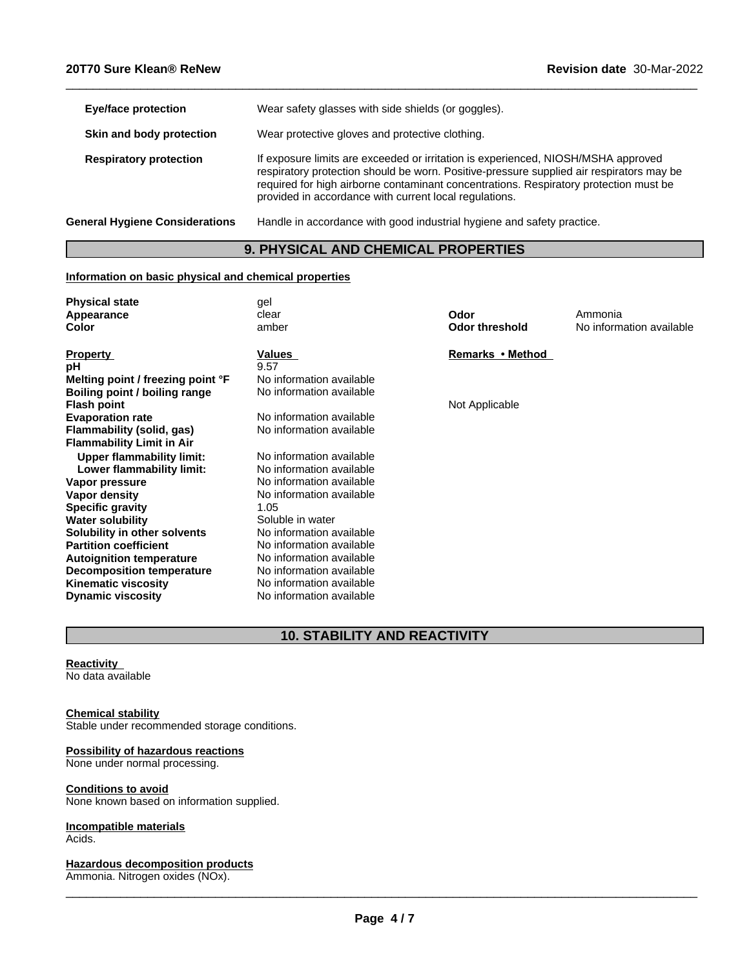| <b>Eye/face protection</b>            | Wear safety glasses with side shields (or goggles).                                                                                                                                                                                                                                                                              |
|---------------------------------------|----------------------------------------------------------------------------------------------------------------------------------------------------------------------------------------------------------------------------------------------------------------------------------------------------------------------------------|
| Skin and body protection              | Wear protective gloves and protective clothing.                                                                                                                                                                                                                                                                                  |
| <b>Respiratory protection</b>         | If exposure limits are exceeded or irritation is experienced, NIOSH/MSHA approved<br>respiratory protection should be worn. Positive-pressure supplied air respirators may be<br>required for high airborne contaminant concentrations. Respiratory protection must be<br>provided in accordance with current local regulations. |
| <b>General Hygiene Considerations</b> | Handle in accordance with good industrial hygiene and safety practice.                                                                                                                                                                                                                                                           |
|                                       |                                                                                                                                                                                                                                                                                                                                  |

 $\_$  ,  $\_$  ,  $\_$  ,  $\_$  ,  $\_$  ,  $\_$  ,  $\_$  ,  $\_$  ,  $\_$  ,  $\_$  ,  $\_$  ,  $\_$  ,  $\_$  ,  $\_$  ,  $\_$  ,  $\_$  ,  $\_$  ,  $\_$  ,  $\_$  ,  $\_$  ,  $\_$  ,  $\_$  ,  $\_$  ,  $\_$  ,  $\_$  ,  $\_$  ,  $\_$  ,  $\_$  ,  $\_$  ,  $\_$  ,  $\_$  ,  $\_$  ,  $\_$  ,  $\_$  ,  $\_$  ,  $\_$  ,  $\_$  ,

## **9. PHYSICAL AND CHEMICAL PROPERTIES**

## **Information on basic physical and chemical properties**

| <b>Physical state</b>             | gel                      |                       |                          |
|-----------------------------------|--------------------------|-----------------------|--------------------------|
| Appearance                        | clear                    | Odor                  | Ammonia                  |
| Color                             | amber                    | <b>Odor threshold</b> | No information available |
| <b>Property</b>                   | Values                   | Remarks • Method      |                          |
| рH                                | 9.57                     |                       |                          |
| Melting point / freezing point °F | No information available |                       |                          |
| Boiling point / boiling range     | No information available |                       |                          |
| <b>Flash point</b>                |                          | Not Applicable        |                          |
| <b>Evaporation rate</b>           | No information available |                       |                          |
| Flammability (solid, gas)         | No information available |                       |                          |
| <b>Flammability Limit in Air</b>  |                          |                       |                          |
| <b>Upper flammability limit:</b>  | No information available |                       |                          |
| Lower flammability limit:         | No information available |                       |                          |
| Vapor pressure                    | No information available |                       |                          |
| Vapor density                     | No information available |                       |                          |
| <b>Specific gravity</b>           | 1.05                     |                       |                          |
| <b>Water solubility</b>           | Soluble in water         |                       |                          |
| Solubility in other solvents      | No information available |                       |                          |
| <b>Partition coefficient</b>      | No information available |                       |                          |
| <b>Autoignition temperature</b>   | No information available |                       |                          |
| Decomposition temperature         | No information available |                       |                          |
| <b>Kinematic viscosity</b>        | No information available |                       |                          |
| <b>Dynamic viscosity</b>          | No information available |                       |                          |

# **10. STABILITY AND REACTIVITY**

## **Reactivity**

No data available

#### **Chemical stability**

Stable under recommended storage conditions.

## **Possibility of hazardous reactions**

None under normal processing.

## **Conditions to avoid**

None known based on information supplied.

## **Incompatible materials**

Acids.

#### **Hazardous decomposition products**

Ammonia. Nitrogen oxides (NOx).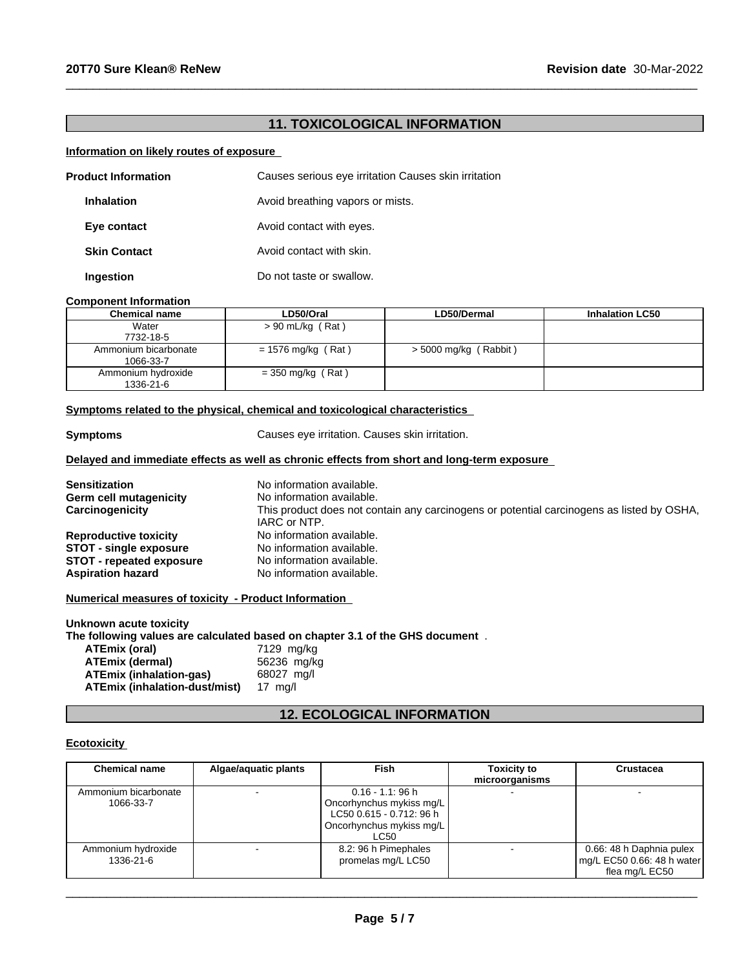# **11. TOXICOLOGICAL INFORMATION**

 $\_$  ,  $\_$  ,  $\_$  ,  $\_$  ,  $\_$  ,  $\_$  ,  $\_$  ,  $\_$  ,  $\_$  ,  $\_$  ,  $\_$  ,  $\_$  ,  $\_$  ,  $\_$  ,  $\_$  ,  $\_$  ,  $\_$  ,  $\_$  ,  $\_$  ,  $\_$  ,  $\_$  ,  $\_$  ,  $\_$  ,  $\_$  ,  $\_$  ,  $\_$  ,  $\_$  ,  $\_$  ,  $\_$  ,  $\_$  ,  $\_$  ,  $\_$  ,  $\_$  ,  $\_$  ,  $\_$  ,  $\_$  ,  $\_$  ,

## **Information on likely routes of exposure**

| <b>Product Information</b> |                     | Causes serious eye irritation Causes skin irritation |  |
|----------------------------|---------------------|------------------------------------------------------|--|
|                            | <b>Inhalation</b>   | Avoid breathing vapors or mists.                     |  |
|                            | Eye contact         | Avoid contact with eyes.                             |  |
|                            | <b>Skin Contact</b> | Avoid contact with skin.                             |  |
|                            | <b>Ingestion</b>    | Do not taste or swallow.                             |  |

#### **Component Information**

| <b>Chemical name</b>              | LD50/Oral            | LD50/Dermal           | <b>Inhalation LC50</b> |
|-----------------------------------|----------------------|-----------------------|------------------------|
| Water<br>7732-18-5                | $> 90$ mL/kg (Rat)   |                       |                        |
| Ammonium bicarbonate<br>1066-33-7 | $= 1576$ mg/kg (Rat) | > 5000 mg/kg (Rabbit) |                        |
| Ammonium hydroxide<br>1336-21-6   | $=$ 350 mg/kg (Rat)  |                       |                        |

## **<u>Symptoms related to the physical, chemical and toxicological characteristics</u>**

| <b>Symptoms</b>                 | Causes eye irritation. Causes skin irritation.                                                            |
|---------------------------------|-----------------------------------------------------------------------------------------------------------|
|                                 | Delayed and immediate effects as well as chronic effects from short and long-term exposure                |
| <b>Sensitization</b>            | No information available.                                                                                 |
| <b>Germ cell mutagenicity</b>   | No information available.                                                                                 |
| Carcinogenicity                 | This product does not contain any carcinogens or potential carcinogens as listed by OSHA,<br>IARC or NTP. |
| <b>Reproductive toxicity</b>    | No information available.                                                                                 |
| <b>STOT - single exposure</b>   | No information available.                                                                                 |
| <b>STOT - repeated exposure</b> | No information available.                                                                                 |
| <b>Aspiration hazard</b>        | No information available.                                                                                 |

**Unknown acute toxicity The following values are calculated based on chapter 3.1 of the GHS document** . **ATEmix** (oral)

| ATEmix (dermal)               | 56236 mg/kg |
|-------------------------------|-------------|
| ATEmix (inhalation-qas)       | 68027 ma/l  |
| ATEmix (inhalation-dust/mist) | 17 ma/l     |

# **12. ECOLOGICAL INFORMATION**

## **Ecotoxicity**

| <b>Chemical name</b>              | Algae/aquatic plants | Fish                                                                                                            | <b>Toxicity to</b><br>microorganisms | Crustacea                                                                |
|-----------------------------------|----------------------|-----------------------------------------------------------------------------------------------------------------|--------------------------------------|--------------------------------------------------------------------------|
| Ammonium bicarbonate<br>1066-33-7 |                      | $0.16 - 1.1$ : 96 h<br>Oncorhynchus mykiss mg/L<br>LC50 0.615 - 0.712: 96 h<br>Oncorhynchus mykiss mg/L<br>LC50 |                                      |                                                                          |
| Ammonium hydroxide<br>1336-21-6   |                      | 8.2: 96 h Pimephales<br>promelas mg/L LC50                                                                      |                                      | 0.66: 48 h Daphnia pulex<br>mg/L EC50 0.66: 48 h water<br>flea mg/L EC50 |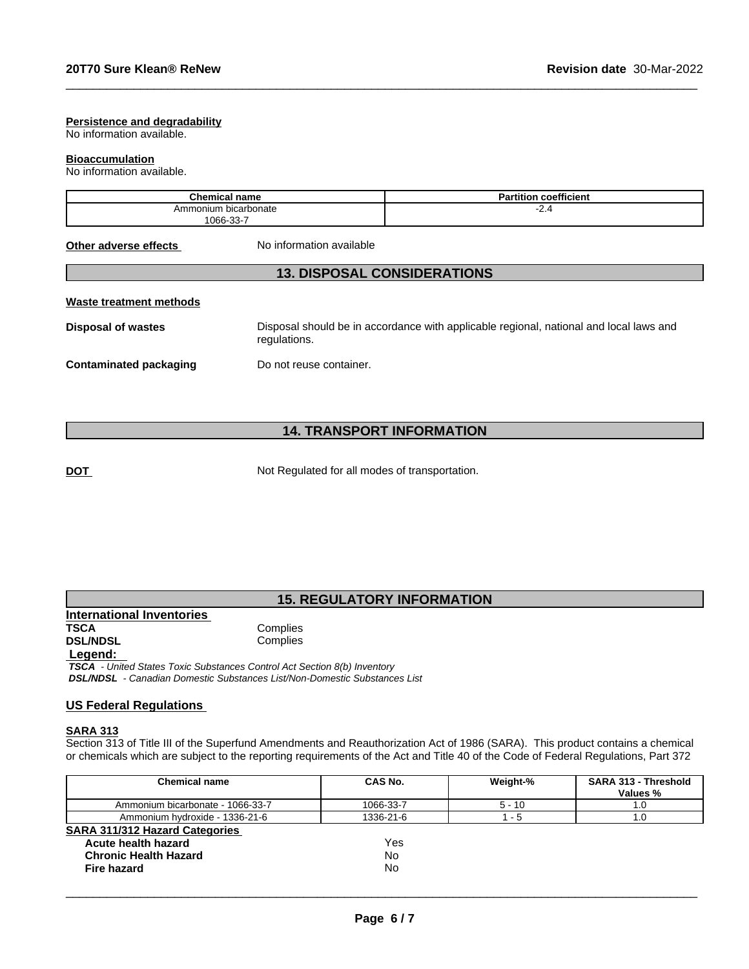#### **Persistence and degradability**

No information available.

#### **Bioaccumulation**

No information available.

| Chamise.<br>name<br>∪nemıcaı                    | <br>coefficient<br>--<br><br>'αι |
|-------------------------------------------------|----------------------------------|
| bicarbonate<br>Ammonium<br>$\sim$<br><b>OGG</b> | <b>E.T</b>                       |

**Other adverse effects** No information available

## **13. DISPOSAL CONSIDERATIONS**

## **Waste treatment methods**

**Disposal of wastes** Disposal should be in accordance with applicable regional, national and local laws and regulations.

 $\_$  ,  $\_$  ,  $\_$  ,  $\_$  ,  $\_$  ,  $\_$  ,  $\_$  ,  $\_$  ,  $\_$  ,  $\_$  ,  $\_$  ,  $\_$  ,  $\_$  ,  $\_$  ,  $\_$  ,  $\_$  ,  $\_$  ,  $\_$  ,  $\_$  ,  $\_$  ,  $\_$  ,  $\_$  ,  $\_$  ,  $\_$  ,  $\_$  ,  $\_$  ,  $\_$  ,  $\_$  ,  $\_$  ,  $\_$  ,  $\_$  ,  $\_$  ,  $\_$  ,  $\_$  ,  $\_$  ,  $\_$  ,  $\_$  ,

**Contaminated packaging Do not reuse container.** 

## **14. TRANSPORT INFORMATION**

**DOT** Not Regulated for all modes of transportation.

## **15. REGULATORY INFORMATION**

**International Inventories DSL/NDSL** 

**Complies** 

## **Legend:**

 *TSCA - United States Toxic Substances Control Act Section 8(b) Inventory DSL/NDSL - Canadian Domestic Substances List/Non-Domestic Substances List*

## **US Federal Regulations**

#### **SARA 313**

Section 313 of Title III of the Superfund Amendments and Reauthorization Act of 1986 (SARA). This product contains a chemical or chemicals which are subject to the reporting requirements of the Act and Title 40 of the Code of Federal Regulations, Part 372

| Chemical name                         | CAS No.   | Weight-% | <b>SARA 313 - Threshold</b><br>Values % |
|---------------------------------------|-----------|----------|-----------------------------------------|
| Ammonium bicarbonate - 1066-33-7      | 1066-33-7 | $5 - 10$ | 1.0                                     |
| Ammonium hydroxide - 1336-21-6        | 1336-21-6 | - 5      | 1.0                                     |
| <b>SARA 311/312 Hazard Categories</b> |           |          |                                         |
| Acute health hazard                   | Yes       |          |                                         |
| <b>Chronic Health Hazard</b>          | No        |          |                                         |
| Fire hazard                           | No        |          |                                         |